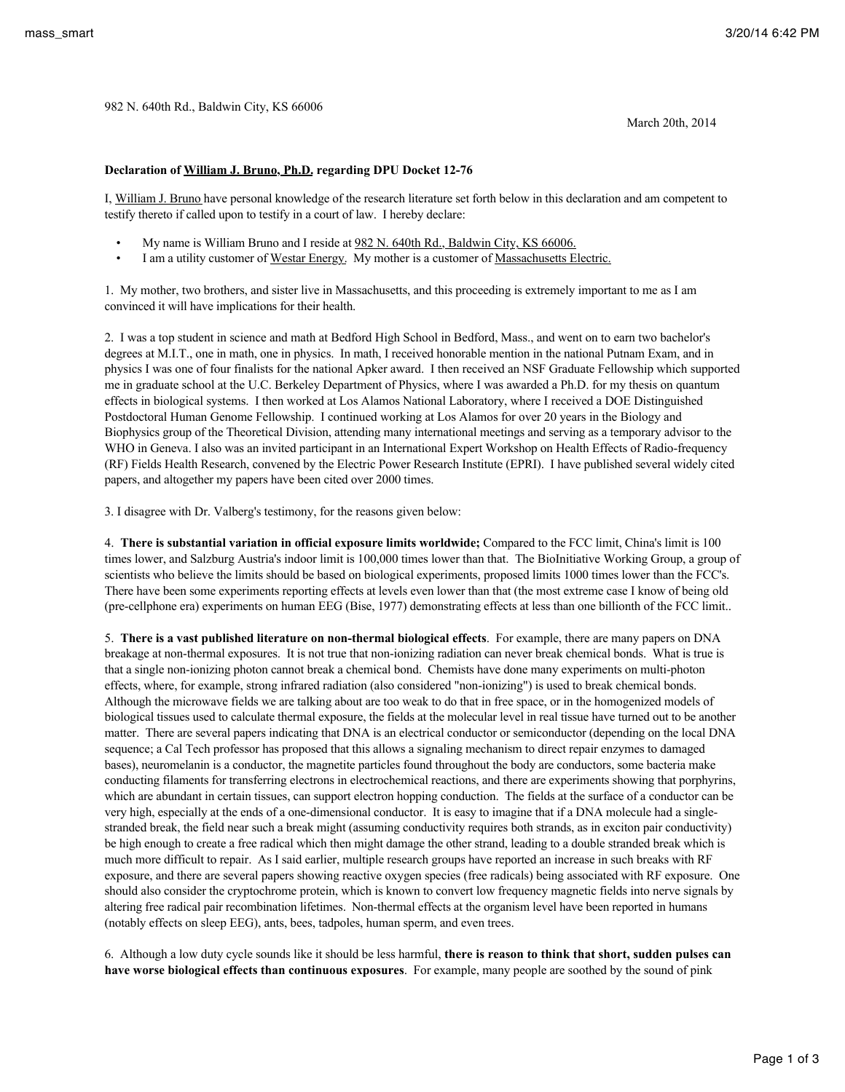March 20th, 2014

## **Declaration of William J. Bruno, Ph.D. regarding DPU Docket 12-76**

I, William J. Bruno have personal knowledge of the research literature set forth below in this declaration and am competent to testify thereto if called upon to testify in a court of law. I hereby declare:

- My name is William Bruno and I reside at 982 N. 640th Rd., Baldwin City, KS 66006.
- I am a utility customer of Westar Energy. My mother is a customer of Massachusetts Electric.

1. My mother, two brothers, and sister live in Massachusetts, and this proceeding is extremely important to me as I am convinced it will have implications for their health.

2. I was a top student in science and math at Bedford High School in Bedford, Mass., and went on to earn two bachelor's degrees at M.I.T., one in math, one in physics. In math, I received honorable mention in the national Putnam Exam, and in physics I was one of four finalists for the national Apker award. I then received an NSF Graduate Fellowship which supported me in graduate school at the U.C. Berkeley Department of Physics, where I was awarded a Ph.D. for my thesis on quantum effects in biological systems. I then worked at Los Alamos National Laboratory, where I received a DOE Distinguished Postdoctoral Human Genome Fellowship. I continued working at Los Alamos for over 20 years in the Biology and Biophysics group of the Theoretical Division, attending many international meetings and serving as a temporary advisor to the WHO in Geneva. I also was an invited participant in an International Expert Workshop on Health Effects of Radio-frequency (RF) Fields Health Research, convened by the Electric Power Research Institute (EPRI). I have published several widely cited papers, and altogether my papers have been cited over 2000 times.

3. I disagree with Dr. Valberg's testimony, for the reasons given below:

4. **There is substantial variation in official exposure limits worldwide;** Compared to the FCC limit, China's limit is 100 times lower, and Salzburg Austria's indoor limit is 100,000 times lower than that. The BioInitiative Working Group, a group of scientists who believe the limits should be based on biological experiments, proposed limits 1000 times lower than the FCC's. There have been some experiments reporting effects at levels even lower than that (the most extreme case I know of being old (pre-cellphone era) experiments on human EEG (Bise, 1977) demonstrating effects at less than one billionth of the FCC limit..

5. **There is a vast published literature on non-thermal biological effects**. For example, there are many papers on DNA breakage at non-thermal exposures. It is not true that non-ionizing radiation can never break chemical bonds. What is true is that a single non-ionizing photon cannot break a chemical bond. Chemists have done many experiments on multi-photon effects, where, for example, strong infrared radiation (also considered "non-ionizing") is used to break chemical bonds. Although the microwave fields we are talking about are too weak to do that in free space, or in the homogenized models of biological tissues used to calculate thermal exposure, the fields at the molecular level in real tissue have turned out to be another matter. There are several papers indicating that DNA is an electrical conductor or semiconductor (depending on the local DNA sequence; a Cal Tech professor has proposed that this allows a signaling mechanism to direct repair enzymes to damaged bases), neuromelanin is a conductor, the magnetite particles found throughout the body are conductors, some bacteria make conducting filaments for transferring electrons in electrochemical reactions, and there are experiments showing that porphyrins, which are abundant in certain tissues, can support electron hopping conduction. The fields at the surface of a conductor can be very high, especially at the ends of a one-dimensional conductor. It is easy to imagine that if a DNA molecule had a singlestranded break, the field near such a break might (assuming conductivity requires both strands, as in exciton pair conductivity) be high enough to create a free radical which then might damage the other strand, leading to a double stranded break which is much more difficult to repair. As I said earlier, multiple research groups have reported an increase in such breaks with RF exposure, and there are several papers showing reactive oxygen species (free radicals) being associated with RF exposure. One should also consider the cryptochrome protein, which is known to convert low frequency magnetic fields into nerve signals by altering free radical pair recombination lifetimes. Non-thermal effects at the organism level have been reported in humans (notably effects on sleep EEG), ants, bees, tadpoles, human sperm, and even trees.

6. Although a low duty cycle sounds like it should be less harmful, **there is reason to think that short, sudden pulses can have worse biological effects than continuous exposures**. For example, many people are soothed by the sound of pink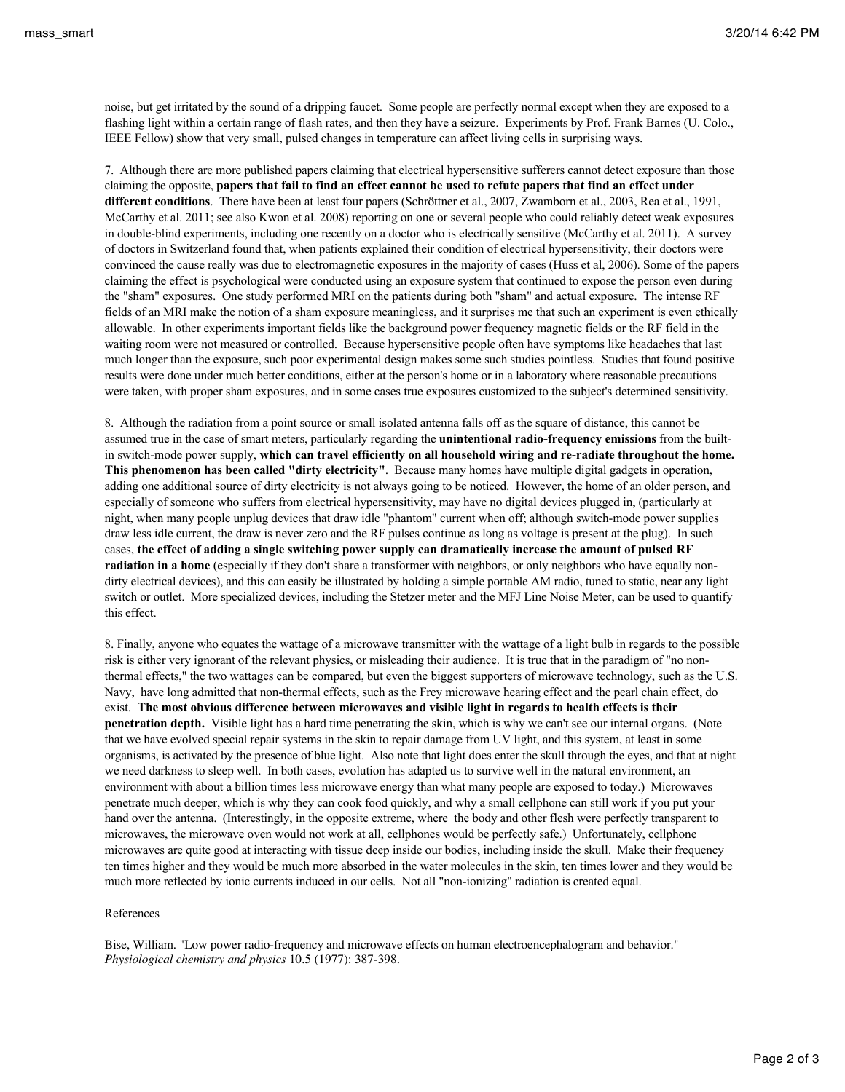noise, but get irritated by the sound of a dripping faucet. Some people are perfectly normal except when they are exposed to a flashing light within a certain range of flash rates, and then they have a seizure. Experiments by Prof. Frank Barnes (U. Colo., IEEE Fellow) show that very small, pulsed changes in temperature can affect living cells in surprising ways.

7. Although there are more published papers claiming that electrical hypersensitive sufferers cannot detect exposure than those claiming the opposite, **papers that fail to find an effect cannot be used to refute papers that find an effect under different conditions**. There have been at least four papers (Schröttner et al., 2007, Zwamborn et al., 2003, Rea et al., 1991, McCarthy et al. 2011; see also Kwon et al. 2008) reporting on one or several people who could reliably detect weak exposures in double-blind experiments, including one recently on a doctor who is electrically sensitive (McCarthy et al. 2011). A survey of doctors in Switzerland found that, when patients explained their condition of electrical hypersensitivity, their doctors were convinced the cause really was due to electromagnetic exposures in the majority of cases (Huss et al, 2006). Some of the papers claiming the effect is psychological were conducted using an exposure system that continued to expose the person even during the "sham" exposures. One study performed MRI on the patients during both "sham" and actual exposure. The intense RF fields of an MRI make the notion of a sham exposure meaningless, and it surprises me that such an experiment is even ethically allowable. In other experiments important fields like the background power frequency magnetic fields or the RF field in the waiting room were not measured or controlled. Because hypersensitive people often have symptoms like headaches that last much longer than the exposure, such poor experimental design makes some such studies pointless. Studies that found positive results were done under much better conditions, either at the person's home or in a laboratory where reasonable precautions were taken, with proper sham exposures, and in some cases true exposures customized to the subject's determined sensitivity.

8. Although the radiation from a point source or small isolated antenna falls off as the square of distance, this cannot be assumed true in the case of smart meters, particularly regarding the **unintentional radio-frequency emissions** from the builtin switch-mode power supply, **which can travel efficiently on all household wiring and re-radiate throughout the home. This phenomenon has been called "dirty electricity"**. Because many homes have multiple digital gadgets in operation, adding one additional source of dirty electricity is not always going to be noticed. However, the home of an older person, and especially of someone who suffers from electrical hypersensitivity, may have no digital devices plugged in, (particularly at night, when many people unplug devices that draw idle "phantom" current when off; although switch-mode power supplies draw less idle current, the draw is never zero and the RF pulses continue as long as voltage is present at the plug). In such cases, **the effect of adding a single switching power supply can dramatically increase the amount of pulsed RF radiation in a home** (especially if they don't share a transformer with neighbors, or only neighbors who have equally nondirty electrical devices), and this can easily be illustrated by holding a simple portable AM radio, tuned to static, near any light switch or outlet. More specialized devices, including the Stetzer meter and the MFJ Line Noise Meter, can be used to quantify this effect.

8. Finally, anyone who equates the wattage of a microwave transmitter with the wattage of a light bulb in regards to the possible risk is either very ignorant of the relevant physics, or misleading their audience. It is true that in the paradigm of "no nonthermal effects," the two wattages can be compared, but even the biggest supporters of microwave technology, such as the U.S. Navy, have long admitted that non-thermal effects, such as the Frey microwave hearing effect and the pearl chain effect, do exist. **The most obvious difference between microwaves and visible light in regards to health effects is their penetration depth.** Visible light has a hard time penetrating the skin, which is why we can't see our internal organs. (Note that we have evolved special repair systems in the skin to repair damage from UV light, and this system, at least in some organisms, is activated by the presence of blue light. Also note that light does enter the skull through the eyes, and that at night we need darkness to sleep well. In both cases, evolution has adapted us to survive well in the natural environment, an environment with about a billion times less microwave energy than what many people are exposed to today.) Microwaves penetrate much deeper, which is why they can cook food quickly, and why a small cellphone can still work if you put your hand over the antenna. (Interestingly, in the opposite extreme, where the body and other flesh were perfectly transparent to microwaves, the microwave oven would not work at all, cellphones would be perfectly safe.) Unfortunately, cellphone microwaves are quite good at interacting with tissue deep inside our bodies, including inside the skull. Make their frequency ten times higher and they would be much more absorbed in the water molecules in the skin, ten times lower and they would be much more reflected by ionic currents induced in our cells. Not all "non-ionizing" radiation is created equal.

## References

Bise, William. "Low power radio-frequency and microwave effects on human electroencephalogram and behavior." *Physiological chemistry and physics* 10.5 (1977): 387-398.